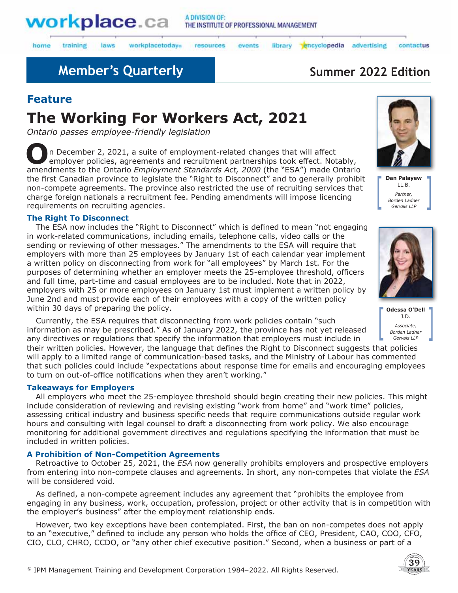

laws

training

workplacetodays

#### resources events

library encyclopedia advertising

# **Member's Quarterly Summer 2022 Edition**

## **Feature**

home

# **The Working For Workers Act, 2021**

*Ontario passes employee-friendly legislation* 

**O**n December 2, 2021, a suite of employment-related changes that will affect employer policies, agreements and recruitment partnerships took effect. Notably, amendments to the Ontario *Employment Standards Act, 2000* (the "ESA") made Ontario the first Canadian province to legislate the "Right to Disconnect" and to generally prohibit non-compete agreements. The province also restricted the use of recruiting services that charge foreign nationals a recruitment fee. Pending amendments will impose licencing requirements on recruiting agencies.

### **The Right To Disconnect**

The ESA now includes the "Right to Disconnect" which is defined to mean "not engaging in work-related communications, including emails, telephone calls, video calls or the sending or reviewing of other messages." The amendments to the ESA will require that employers with more than 25 employees by January 1st of each calendar year implement a written policy on disconnecting from work for "all employees" by March 1st. For the purposes of determining whether an employer meets the 25-employee threshold, officers and full time, part-time and casual employees are to be included. Note that in 2022, employers with 25 or more employees on January 1st must implement a written policy by June 2nd and must provide each of their employees with a copy of the written policy within 30 days of preparing the policy.

Currently, the ESA requires that disconnecting from work policies contain "such information as may be prescribed." As of January 2022, the province has not yet released any directives or regulations that specify the information that employers must include in their written policies. However, the language that defines the Right to Disconnect suggests that policies

will apply to a limited range of communication-based tasks, and the Ministry of Labour has commented that such policies could include "expectations about response time for emails and encouraging employees to turn on out-of-office notifications when they aren't working."

### **Takeaways for Employers**

All employers who meet the 25-employee threshold should begin creating their new policies. This might include consideration of reviewing and revising existing "work from home" and "work time" policies, assessing critical industry and business specific needs that require communications outside regular work hours and consulting with legal counsel to draft a disconnecting from work policy. We also encourage monitoring for additional government directives and regulations specifying the information that must be included in written policies.

### **A Prohibition of Non-Competition Agreements**

Retroactive to October 25, 2021, the *ESA* now generally prohibits employers and prospective employers from entering into non-compete clauses and agreements. In short, any non-competes that violate the *ESA* will be considered void.

As defined, a non-compete agreement includes any agreement that "prohibits the employee from engaging in any business, work, occupation, profession, project or other activity that is in competition with the employer's business" after the employment relationship ends.

However, two key exceptions have been contemplated. First, the ban on non-competes does not apply to an "executive," defined to include any person who holds the office of CEO, President, CAO, COO, CFO, CIO, CLO, CHRO, CCDO, or "any other chief executive position." Second, when a business or part of a



contactus

**Dan Palayew** LL.B. *Partner, Borden Ladner Gervais LLP*



**Odessa O'Dell** J.D. *Associate, Borden Ladner Gervais LLP*